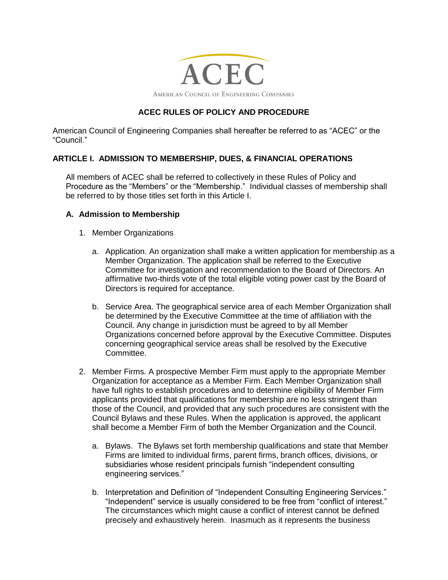

# **ACEC RULES OF POLICY AND PROCEDURE**

American Council of Engineering Companies shall hereafter be referred to as "ACEC" or the "Council."

## **ARTICLE I. ADMISSION TO MEMBERSHIP, DUES, & FINANCIAL OPERATIONS**

All members of ACEC shall be referred to collectively in these Rules of Policy and Procedure as the "Members" or the "Membership." Individual classes of membership shall be referred to by those titles set forth in this Article I.

#### **A. Admission to Membership**

- 1. Member Organizations
	- a. Application. An organization shall make a written application for membership as a Member Organization. The application shall be referred to the Executive Committee for investigation and recommendation to the Board of Directors. An affirmative two-thirds vote of the total eligible voting power cast by the Board of Directors is required for acceptance.
	- b. Service Area. The geographical service area of each Member Organization shall be determined by the Executive Committee at the time of affiliation with the Council. Any change in jurisdiction must be agreed to by all Member Organizations concerned before approval by the Executive Committee. Disputes concerning geographical service areas shall be resolved by the Executive Committee.
- 2. Member Firms. A prospective Member Firm must apply to the appropriate Member Organization for acceptance as a Member Firm. Each Member Organization shall have full rights to establish procedures and to determine eligibility of Member Firm applicants provided that qualifications for membership are no less stringent than those of the Council, and provided that any such procedures are consistent with the Council Bylaws and these Rules. When the application is approved, the applicant shall become a Member Firm of both the Member Organization and the Council.
	- a. Bylaws. The Bylaws set forth membership qualifications and state that Member Firms are limited to individual firms, parent firms, branch offices, divisions, or subsidiaries whose resident principals furnish "independent consulting engineering services."
	- b. Interpretation and Definition of "Independent Consulting Engineering Services." "Independent" service is usually considered to be free from "conflict of interest." The circumstances which might cause a conflict of interest cannot be defined precisely and exhaustively herein. Inasmuch as it represents the business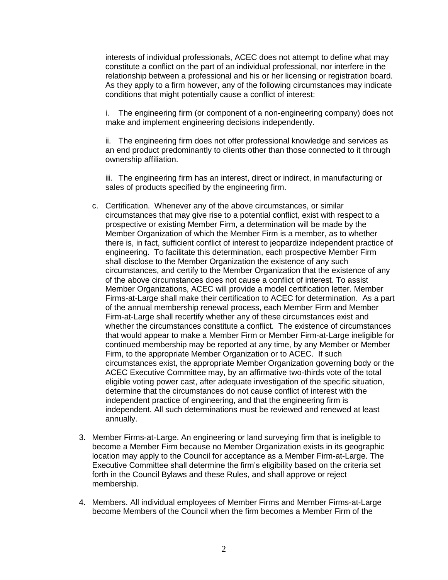interests of individual professionals, ACEC does not attempt to define what may constitute a conflict on the part of an individual professional, nor interfere in the relationship between a professional and his or her licensing or registration board. As they apply to a firm however, any of the following circumstances may indicate conditions that might potentially cause a conflict of interest:

i. The engineering firm (or component of a non-engineering company) does not make and implement engineering decisions independently.

ii. The engineering firm does not offer professional knowledge and services as an end product predominantly to clients other than those connected to it through ownership affiliation.

iii. The engineering firm has an interest, direct or indirect, in manufacturing or sales of products specified by the engineering firm.

- c. Certification. Whenever any of the above circumstances, or similar circumstances that may give rise to a potential conflict, exist with respect to a prospective or existing Member Firm, a determination will be made by the Member Organization of which the Member Firm is a member, as to whether there is, in fact, sufficient conflict of interest to jeopardize independent practice of engineering. To facilitate this determination, each prospective Member Firm shall disclose to the Member Organization the existence of any such circumstances, and certify to the Member Organization that the existence of any of the above circumstances does not cause a conflict of interest. To assist Member Organizations, ACEC will provide a model certification letter. Member Firms-at-Large shall make their certification to ACEC for determination. As a part of the annual membership renewal process, each Member Firm and Member Firm-at-Large shall recertify whether any of these circumstances exist and whether the circumstances constitute a conflict. The existence of circumstances that would appear to make a Member Firm or Member Firm-at-Large ineligible for continued membership may be reported at any time, by any Member or Member Firm, to the appropriate Member Organization or to ACEC. If such circumstances exist, the appropriate Member Organization governing body or the ACEC Executive Committee may, by an affirmative two-thirds vote of the total eligible voting power cast, after adequate investigation of the specific situation, determine that the circumstances do not cause conflict of interest with the independent practice of engineering, and that the engineering firm is independent. All such determinations must be reviewed and renewed at least annually.
- 3. Member Firms-at-Large. An engineering or land surveying firm that is ineligible to become a Member Firm because no Member Organization exists in its geographic location may apply to the Council for acceptance as a Member Firm-at-Large. The Executive Committee shall determine the firm's eligibility based on the criteria set forth in the Council Bylaws and these Rules, and shall approve or reject membership.
- 4. Members. All individual employees of Member Firms and Member Firms-at-Large become Members of the Council when the firm becomes a Member Firm of the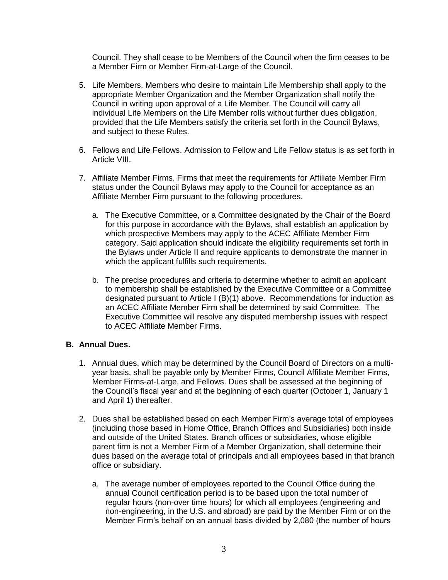Council. They shall cease to be Members of the Council when the firm ceases to be a Member Firm or Member Firm-at-Large of the Council.

- 5. Life Members. Members who desire to maintain Life Membership shall apply to the appropriate Member Organization and the Member Organization shall notify the Council in writing upon approval of a Life Member. The Council will carry all individual Life Members on the Life Member rolls without further dues obligation, provided that the Life Members satisfy the criteria set forth in the Council Bylaws, and subject to these Rules.
- 6. Fellows and Life Fellows. Admission to Fellow and Life Fellow status is as set forth in Article VIII.
- 7. Affiliate Member Firms. Firms that meet the requirements for Affiliate Member Firm status under the Council Bylaws may apply to the Council for acceptance as an Affiliate Member Firm pursuant to the following procedures.
	- a. The Executive Committee, or a Committee designated by the Chair of the Board for this purpose in accordance with the Bylaws, shall establish an application by which prospective Members may apply to the ACEC Affiliate Member Firm category. Said application should indicate the eligibility requirements set forth in the Bylaws under Article II and require applicants to demonstrate the manner in which the applicant fulfills such requirements.
	- b. The precise procedures and criteria to determine whether to admit an applicant to membership shall be established by the Executive Committee or a Committee designated pursuant to Article I (B)(1) above. Recommendations for induction as an ACEC Affiliate Member Firm shall be determined by said Committee. The Executive Committee will resolve any disputed membership issues with respect to ACEC Affiliate Member Firms.

## **B. Annual Dues.**

- 1. Annual dues, which may be determined by the Council Board of Directors on a multiyear basis, shall be payable only by Member Firms, Council Affiliate Member Firms, Member Firms-at-Large, and Fellows. Dues shall be assessed at the beginning of the Council's fiscal year and at the beginning of each quarter (October 1, January 1 and April 1) thereafter.
- 2. Dues shall be established based on each Member Firm's average total of employees (including those based in Home Office, Branch Offices and Subsidiaries) both inside and outside of the United States. Branch offices or subsidiaries, whose eligible parent firm is not a Member Firm of a Member Organization, shall determine their dues based on the average total of principals and all employees based in that branch office or subsidiary.
	- a. The average number of employees reported to the Council Office during the annual Council certification period is to be based upon the total number of regular hours (non-over time hours) for which all employees (engineering and non-engineering, in the U.S. and abroad) are paid by the Member Firm or on the Member Firm's behalf on an annual basis divided by 2,080 (the number of hours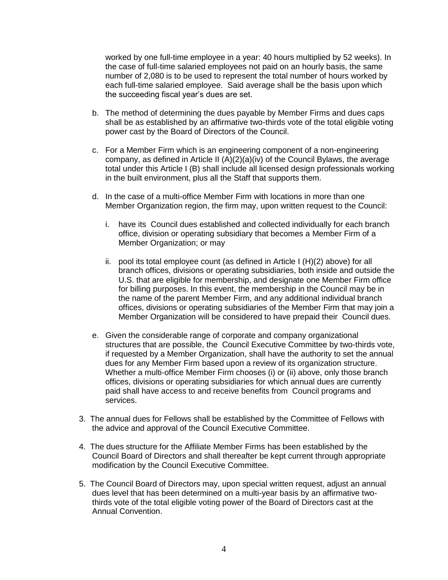worked by one full-time employee in a year: 40 hours multiplied by 52 weeks). In the case of full-time salaried employees not paid on an hourly basis, the same number of 2,080 is to be used to represent the total number of hours worked by each full-time salaried employee. Said average shall be the basis upon which the succeeding fiscal year's dues are set.

- b. The method of determining the dues payable by Member Firms and dues caps shall be as established by an affirmative two-thirds vote of the total eligible voting power cast by the Board of Directors of the Council.
- c. For a Member Firm which is an engineering component of a non-engineering company, as defined in Article II  $(A)(2)(a)(iv)$  of the Council Bylaws, the average total under this Article I (B) shall include all licensed design professionals working in the built environment, plus all the Staff that supports them.
- d. In the case of a multi-office Member Firm with locations in more than one Member Organization region, the firm may, upon written request to the Council:
	- i. have its Council dues established and collected individually for each branch office, division or operating subsidiary that becomes a Member Firm of a Member Organization; or may
	- ii. pool its total employee count (as defined in Article I (H)(2) above) for all branch offices, divisions or operating subsidiaries, both inside and outside the U.S. that are eligible for membership, and designate one Member Firm office for billing purposes. In this event, the membership in the Council may be in the name of the parent Member Firm, and any additional individual branch offices, divisions or operating subsidiaries of the Member Firm that may join a Member Organization will be considered to have prepaid their Council dues.
- e. Given the considerable range of corporate and company organizational structures that are possible, the Council Executive Committee by two-thirds vote, if requested by a Member Organization, shall have the authority to set the annual dues for any Member Firm based upon a review of its organization structure. Whether a multi-office Member Firm chooses (i) or (ii) above, only those branch offices, divisions or operating subsidiaries for which annual dues are currently paid shall have access to and receive benefits from Council programs and services.
- 3. The annual dues for Fellows shall be established by the Committee of Fellows with the advice and approval of the Council Executive Committee.
- 4. The dues structure for the Affiliate Member Firms has been established by the Council Board of Directors and shall thereafter be kept current through appropriate modification by the Council Executive Committee.
- 5. The Council Board of Directors may, upon special written request, adjust an annual dues level that has been determined on a multi-year basis by an affirmative twothirds vote of the total eligible voting power of the Board of Directors cast at the Annual Convention.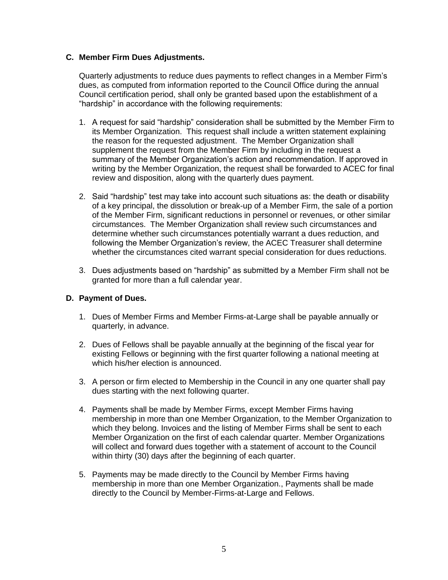## **C. Member Firm Dues Adjustments.**

Quarterly adjustments to reduce dues payments to reflect changes in a Member Firm's dues, as computed from information reported to the Council Office during the annual Council certification period, shall only be granted based upon the establishment of a "hardship" in accordance with the following requirements:

- 1. A request for said "hardship" consideration shall be submitted by the Member Firm to its Member Organization. This request shall include a written statement explaining the reason for the requested adjustment. The Member Organization shall supplement the request from the Member Firm by including in the request a summary of the Member Organization's action and recommendation. If approved in writing by the Member Organization, the request shall be forwarded to ACEC for final review and disposition, along with the quarterly dues payment.
- 2. Said "hardship" test may take into account such situations as: the death or disability of a key principal, the dissolution or break-up of a Member Firm, the sale of a portion of the Member Firm, significant reductions in personnel or revenues, or other similar circumstances. The Member Organization shall review such circumstances and determine whether such circumstances potentially warrant a dues reduction, and following the Member Organization's review, the ACEC Treasurer shall determine whether the circumstances cited warrant special consideration for dues reductions.
- 3. Dues adjustments based on "hardship" as submitted by a Member Firm shall not be granted for more than a full calendar year.

## **D. Payment of Dues.**

- 1. Dues of Member Firms and Member Firms-at-Large shall be payable annually or quarterly, in advance.
- 2. Dues of Fellows shall be payable annually at the beginning of the fiscal year for existing Fellows or beginning with the first quarter following a national meeting at which his/her election is announced.
- 3. A person or firm elected to Membership in the Council in any one quarter shall pay dues starting with the next following quarter.
- 4. Payments shall be made by Member Firms, except Member Firms having membership in more than one Member Organization, to the Member Organization to which they belong. Invoices and the listing of Member Firms shall be sent to each Member Organization on the first of each calendar quarter. Member Organizations will collect and forward dues together with a statement of account to the Council within thirty (30) days after the beginning of each quarter.
- 5. Payments may be made directly to the Council by Member Firms having membership in more than one Member Organization., Payments shall be made directly to the Council by Member-Firms-at-Large and Fellows.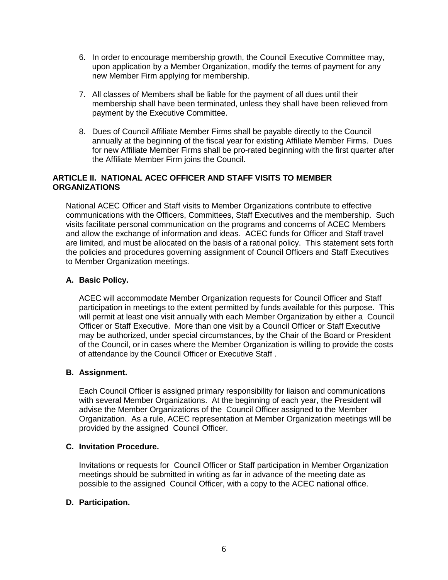- 6. In order to encourage membership growth, the Council Executive Committee may, upon application by a Member Organization, modify the terms of payment for any new Member Firm applying for membership.
- 7. All classes of Members shall be liable for the payment of all dues until their membership shall have been terminated, unless they shall have been relieved from payment by the Executive Committee.
- 8. Dues of Council Affiliate Member Firms shall be payable directly to the Council annually at the beginning of the fiscal year for existing Affiliate Member Firms. Dues for new Affiliate Member Firms shall be pro-rated beginning with the first quarter after the Affiliate Member Firm joins the Council.

## **ARTICLE II. NATIONAL ACEC OFFICER AND STAFF VISITS TO MEMBER ORGANIZATIONS**

National ACEC Officer and Staff visits to Member Organizations contribute to effective communications with the Officers, Committees, Staff Executives and the membership. Such visits facilitate personal communication on the programs and concerns of ACEC Members and allow the exchange of information and ideas. ACEC funds for Officer and Staff travel are limited, and must be allocated on the basis of a rational policy. This statement sets forth the policies and procedures governing assignment of Council Officers and Staff Executives to Member Organization meetings.

## **A. Basic Policy.**

ACEC will accommodate Member Organization requests for Council Officer and Staff participation in meetings to the extent permitted by funds available for this purpose. This will permit at least one visit annually with each Member Organization by either a Council Officer or Staff Executive. More than one visit by a Council Officer or Staff Executive may be authorized, under special circumstances, by the Chair of the Board or President of the Council, or in cases where the Member Organization is willing to provide the costs of attendance by the Council Officer or Executive Staff .

## **B. Assignment.**

Each Council Officer is assigned primary responsibility for liaison and communications with several Member Organizations. At the beginning of each year, the President will advise the Member Organizations of the Council Officer assigned to the Member Organization. As a rule, ACEC representation at Member Organization meetings will be provided by the assigned Council Officer.

## **C. Invitation Procedure.**

Invitations or requests for Council Officer or Staff participation in Member Organization meetings should be submitted in writing as far in advance of the meeting date as possible to the assigned Council Officer, with a copy to the ACEC national office.

## **D. Participation.**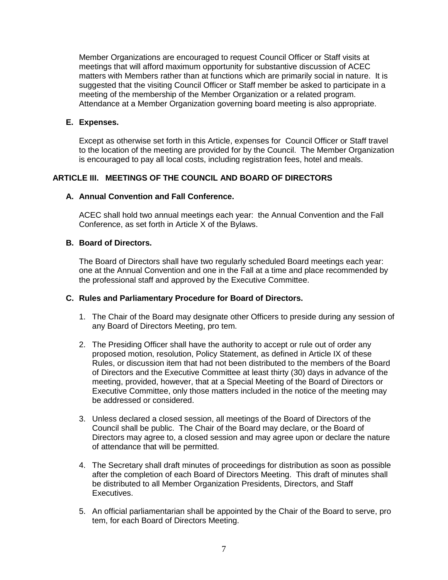Member Organizations are encouraged to request Council Officer or Staff visits at meetings that will afford maximum opportunity for substantive discussion of ACEC matters with Members rather than at functions which are primarily social in nature. It is suggested that the visiting Council Officer or Staff member be asked to participate in a meeting of the membership of the Member Organization or a related program. Attendance at a Member Organization governing board meeting is also appropriate.

## **E. Expenses.**

Except as otherwise set forth in this Article, expenses for Council Officer or Staff travel to the location of the meeting are provided for by the Council. The Member Organization is encouraged to pay all local costs, including registration fees, hotel and meals.

## **ARTICLE III. MEETINGS OF THE COUNCIL AND BOARD OF DIRECTORS**

## **A. Annual Convention and Fall Conference.**

ACEC shall hold two annual meetings each year: the Annual Convention and the Fall Conference, as set forth in Article X of the Bylaws.

#### **B. Board of Directors.**

The Board of Directors shall have two regularly scheduled Board meetings each year: one at the Annual Convention and one in the Fall at a time and place recommended by the professional staff and approved by the Executive Committee.

## **C. Rules and Parliamentary Procedure for Board of Directors.**

- 1. The Chair of the Board may designate other Officers to preside during any session of any Board of Directors Meeting, pro tem.
- 2. The Presiding Officer shall have the authority to accept or rule out of order any proposed motion, resolution, Policy Statement, as defined in Article IX of these Rules, or discussion item that had not been distributed to the members of the Board of Directors and the Executive Committee at least thirty (30) days in advance of the meeting, provided, however, that at a Special Meeting of the Board of Directors or Executive Committee, only those matters included in the notice of the meeting may be addressed or considered.
- 3. Unless declared a closed session, all meetings of the Board of Directors of the Council shall be public. The Chair of the Board may declare, or the Board of Directors may agree to, a closed session and may agree upon or declare the nature of attendance that will be permitted.
- 4. The Secretary shall draft minutes of proceedings for distribution as soon as possible after the completion of each Board of Directors Meeting. This draft of minutes shall be distributed to all Member Organization Presidents, Directors, and Staff Executives.
- 5. An official parliamentarian shall be appointed by the Chair of the Board to serve, pro tem, for each Board of Directors Meeting.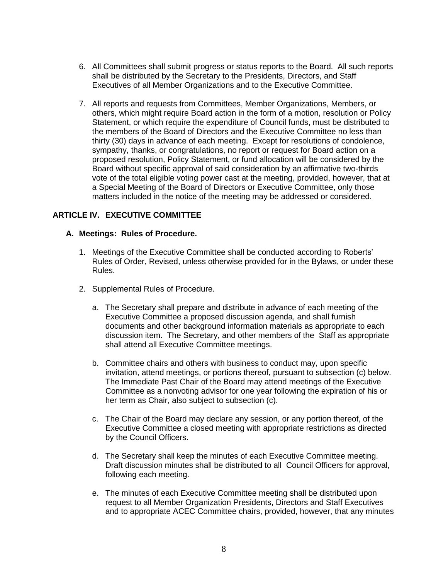- 6. All Committees shall submit progress or status reports to the Board. All such reports shall be distributed by the Secretary to the Presidents, Directors, and Staff Executives of all Member Organizations and to the Executive Committee.
- 7. All reports and requests from Committees, Member Organizations, Members, or others, which might require Board action in the form of a motion, resolution or Policy Statement, or which require the expenditure of Council funds, must be distributed to the members of the Board of Directors and the Executive Committee no less than thirty (30) days in advance of each meeting. Except for resolutions of condolence, sympathy, thanks, or congratulations, no report or request for Board action on a proposed resolution, Policy Statement, or fund allocation will be considered by the Board without specific approval of said consideration by an affirmative two-thirds vote of the total eligible voting power cast at the meeting, provided, however, that at a Special Meeting of the Board of Directors or Executive Committee, only those matters included in the notice of the meeting may be addressed or considered.

## **ARTICLE IV. EXECUTIVE COMMITTEE**

#### **A. Meetings: Rules of Procedure.**

- 1. Meetings of the Executive Committee shall be conducted according to Roberts' Rules of Order, Revised, unless otherwise provided for in the Bylaws, or under these Rules.
- 2. Supplemental Rules of Procedure.
	- a. The Secretary shall prepare and distribute in advance of each meeting of the Executive Committee a proposed discussion agenda, and shall furnish documents and other background information materials as appropriate to each discussion item. The Secretary, and other members of the Staff as appropriate shall attend all Executive Committee meetings.
	- b. Committee chairs and others with business to conduct may, upon specific invitation, attend meetings, or portions thereof, pursuant to subsection (c) below. The Immediate Past Chair of the Board may attend meetings of the Executive Committee as a nonvoting advisor for one year following the expiration of his or her term as Chair, also subject to subsection (c).
	- c. The Chair of the Board may declare any session, or any portion thereof, of the Executive Committee a closed meeting with appropriate restrictions as directed by the Council Officers.
	- d. The Secretary shall keep the minutes of each Executive Committee meeting. Draft discussion minutes shall be distributed to all Council Officers for approval, following each meeting.
	- e. The minutes of each Executive Committee meeting shall be distributed upon request to all Member Organization Presidents, Directors and Staff Executives and to appropriate ACEC Committee chairs, provided, however, that any minutes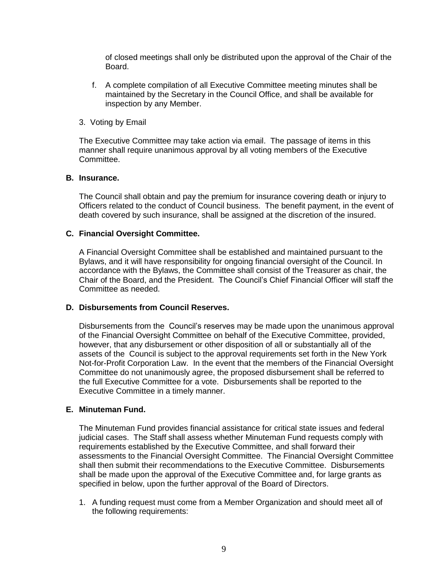of closed meetings shall only be distributed upon the approval of the Chair of the Board.

- f. A complete compilation of all Executive Committee meeting minutes shall be maintained by the Secretary in the Council Office, and shall be available for inspection by any Member.
- 3. Voting by Email

The Executive Committee may take action via email. The passage of items in this manner shall require unanimous approval by all voting members of the Executive Committee.

#### **B. Insurance.**

The Council shall obtain and pay the premium for insurance covering death or injury to Officers related to the conduct of Council business. The benefit payment, in the event of death covered by such insurance, shall be assigned at the discretion of the insured.

#### **C. Financial Oversight Committee.**

A Financial Oversight Committee shall be established and maintained pursuant to the Bylaws, and it will have responsibility for ongoing financial oversight of the Council. In accordance with the Bylaws, the Committee shall consist of the Treasurer as chair, the Chair of the Board, and the President. The Council's Chief Financial Officer will staff the Committee as needed.

## **D. Disbursements from Council Reserves.**

Disbursements from the Council's reserves may be made upon the unanimous approval of the Financial Oversight Committee on behalf of the Executive Committee, provided, however, that any disbursement or other disposition of all or substantially all of the assets of the Council is subject to the approval requirements set forth in the New York Not-for-Profit Corporation Law. In the event that the members of the Financial Oversight Committee do not unanimously agree, the proposed disbursement shall be referred to the full Executive Committee for a vote. Disbursements shall be reported to the Executive Committee in a timely manner.

## **E. Minuteman Fund.**

The Minuteman Fund provides financial assistance for critical state issues and federal judicial cases. The Staff shall assess whether Minuteman Fund requests comply with requirements established by the Executive Committee, and shall forward their assessments to the Financial Oversight Committee. The Financial Oversight Committee shall then submit their recommendations to the Executive Committee. Disbursements shall be made upon the approval of the Executive Committee and, for large grants as specified in below, upon the further approval of the Board of Directors.

1. A funding request must come from a Member Organization and should meet all of the following requirements: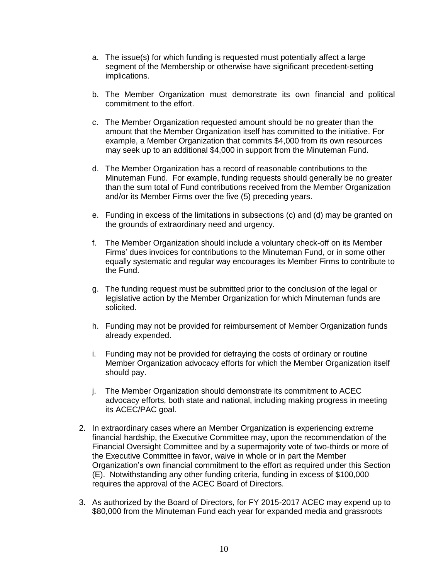- a. The issue(s) for which funding is requested must potentially affect a large segment of the Membership or otherwise have significant precedent-setting implications.
- b. The Member Organization must demonstrate its own financial and political commitment to the effort.
- c. The Member Organization requested amount should be no greater than the amount that the Member Organization itself has committed to the initiative. For example, a Member Organization that commits \$4,000 from its own resources may seek up to an additional \$4,000 in support from the Minuteman Fund.
- d. The Member Organization has a record of reasonable contributions to the Minuteman Fund. For example, funding requests should generally be no greater than the sum total of Fund contributions received from the Member Organization and/or its Member Firms over the five (5) preceding years.
- e. Funding in excess of the limitations in subsections (c) and (d) may be granted on the grounds of extraordinary need and urgency.
- f. The Member Organization should include a voluntary check-off on its Member Firms' dues invoices for contributions to the Minuteman Fund, or in some other equally systematic and regular way encourages its Member Firms to contribute to the Fund.
- g. The funding request must be submitted prior to the conclusion of the legal or legislative action by the Member Organization for which Minuteman funds are solicited.
- h. Funding may not be provided for reimbursement of Member Organization funds already expended.
- i. Funding may not be provided for defraying the costs of ordinary or routine Member Organization advocacy efforts for which the Member Organization itself should pay.
- j. The Member Organization should demonstrate its commitment to ACEC advocacy efforts, both state and national, including making progress in meeting its ACEC/PAC goal.
- 2. In extraordinary cases where an Member Organization is experiencing extreme financial hardship, the Executive Committee may, upon the recommendation of the Financial Oversight Committee and by a supermajority vote of two-thirds or more of the Executive Committee in favor, waive in whole or in part the Member Organization's own financial commitment to the effort as required under this Section (E). Notwithstanding any other funding criteria, funding in excess of \$100,000 requires the approval of the ACEC Board of Directors.
- 3. As authorized by the Board of Directors, for FY 2015-2017 ACEC may expend up to \$80,000 from the Minuteman Fund each year for expanded media and grassroots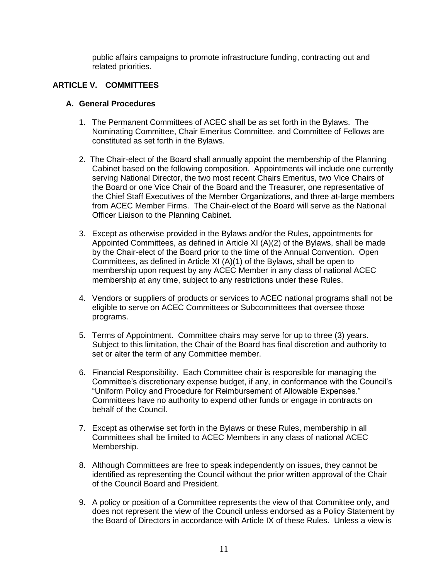public affairs campaigns to promote infrastructure funding, contracting out and related priorities.

# **ARTICLE V. COMMITTEES**

#### **A. General Procedures**

- 1. The Permanent Committees of ACEC shall be as set forth in the Bylaws. The Nominating Committee, Chair Emeritus Committee, and Committee of Fellows are constituted as set forth in the Bylaws.
- 2. The Chair-elect of the Board shall annually appoint the membership of the Planning Cabinet based on the following composition. Appointments will include one currently serving National Director, the two most recent Chairs Emeritus, two Vice Chairs of the Board or one Vice Chair of the Board and the Treasurer, one representative of the Chief Staff Executives of the Member Organizations, and three at-large members from ACEC Member Firms. The Chair-elect of the Board will serve as the National Officer Liaison to the Planning Cabinet.
- 3. Except as otherwise provided in the Bylaws and/or the Rules, appointments for Appointed Committees, as defined in Article XI (A)(2) of the Bylaws, shall be made by the Chair-elect of the Board prior to the time of the Annual Convention. Open Committees, as defined in Article XI (A)(1) of the Bylaws, shall be open to membership upon request by any ACEC Member in any class of national ACEC membership at any time, subject to any restrictions under these Rules.
- 4. Vendors or suppliers of products or services to ACEC national programs shall not be eligible to serve on ACEC Committees or Subcommittees that oversee those programs.
- 5. Terms of Appointment. Committee chairs may serve for up to three (3) years. Subject to this limitation, the Chair of the Board has final discretion and authority to set or alter the term of any Committee member.
- 6. Financial Responsibility. Each Committee chair is responsible for managing the Committee's discretionary expense budget, if any, in conformance with the Council's "Uniform Policy and Procedure for Reimbursement of Allowable Expenses." Committees have no authority to expend other funds or engage in contracts on behalf of the Council.
- 7. Except as otherwise set forth in the Bylaws or these Rules, membership in all Committees shall be limited to ACEC Members in any class of national ACEC Membership.
- 8. Although Committees are free to speak independently on issues, they cannot be identified as representing the Council without the prior written approval of the Chair of the Council Board and President.
- 9. A policy or position of a Committee represents the view of that Committee only, and does not represent the view of the Council unless endorsed as a Policy Statement by the Board of Directors in accordance with Article IX of these Rules. Unless a view is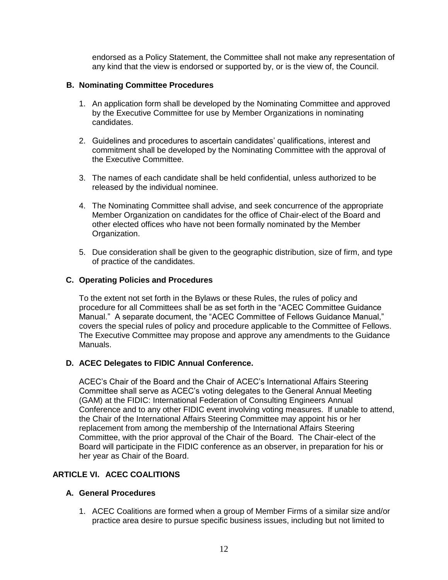endorsed as a Policy Statement, the Committee shall not make any representation of any kind that the view is endorsed or supported by, or is the view of, the Council.

## **B. Nominating Committee Procedures**

- 1. An application form shall be developed by the Nominating Committee and approved by the Executive Committee for use by Member Organizations in nominating candidates.
- 2. Guidelines and procedures to ascertain candidates' qualifications, interest and commitment shall be developed by the Nominating Committee with the approval of the Executive Committee.
- 3. The names of each candidate shall be held confidential, unless authorized to be released by the individual nominee.
- 4. The Nominating Committee shall advise, and seek concurrence of the appropriate Member Organization on candidates for the office of Chair-elect of the Board and other elected offices who have not been formally nominated by the Member Organization.
- 5. Due consideration shall be given to the geographic distribution, size of firm, and type of practice of the candidates.

## **C. Operating Policies and Procedures**

To the extent not set forth in the Bylaws or these Rules, the rules of policy and procedure for all Committees shall be as set forth in the "ACEC Committee Guidance Manual." A separate document, the "ACEC Committee of Fellows Guidance Manual," covers the special rules of policy and procedure applicable to the Committee of Fellows. The Executive Committee may propose and approve any amendments to the Guidance Manuals.

# **D. ACEC Delegates to FIDIC Annual Conference.**

ACEC's Chair of the Board and the Chair of ACEC's International Affairs Steering Committee shall serve as ACEC's voting delegates to the General Annual Meeting (GAM) at the FIDIC: International Federation of Consulting Engineers Annual Conference and to any other FIDIC event involving voting measures. If unable to attend, the Chair of the International Affairs Steering Committee may appoint his or her replacement from among the membership of the International Affairs Steering Committee, with the prior approval of the Chair of the Board. The Chair-elect of the Board will participate in the FIDIC conference as an observer, in preparation for his or her year as Chair of the Board.

## **ARTICLE VI. ACEC COALITIONS**

## **A. General Procedures**

1. ACEC Coalitions are formed when a group of Member Firms of a similar size and/or practice area desire to pursue specific business issues, including but not limited to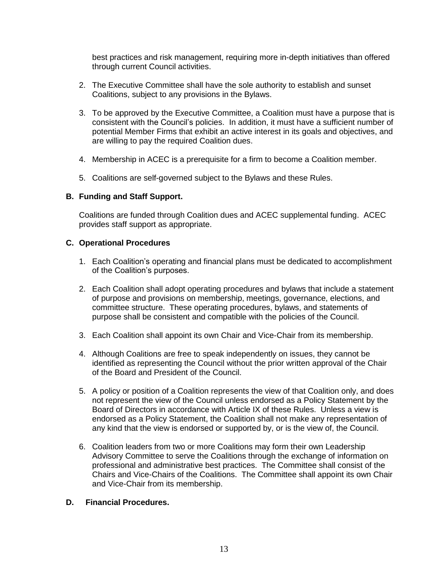best practices and risk management, requiring more in-depth initiatives than offered through current Council activities.

- 2. The Executive Committee shall have the sole authority to establish and sunset Coalitions, subject to any provisions in the Bylaws.
- 3. To be approved by the Executive Committee, a Coalition must have a purpose that is consistent with the Council's policies. In addition, it must have a sufficient number of potential Member Firms that exhibit an active interest in its goals and objectives, and are willing to pay the required Coalition dues.
- 4. Membership in ACEC is a prerequisite for a firm to become a Coalition member.
- 5. Coalitions are self-governed subject to the Bylaws and these Rules.

## **B. Funding and Staff Support.**

Coalitions are funded through Coalition dues and ACEC supplemental funding. ACEC provides staff support as appropriate.

#### **C. Operational Procedures**

- 1. Each Coalition's operating and financial plans must be dedicated to accomplishment of the Coalition's purposes.
- 2. Each Coalition shall adopt operating procedures and bylaws that include a statement of purpose and provisions on membership, meetings, governance, elections, and committee structure. These operating procedures, bylaws, and statements of purpose shall be consistent and compatible with the policies of the Council.
- 3. Each Coalition shall appoint its own Chair and Vice-Chair from its membership.
- 4. Although Coalitions are free to speak independently on issues, they cannot be identified as representing the Council without the prior written approval of the Chair of the Board and President of the Council.
- 5. A policy or position of a Coalition represents the view of that Coalition only, and does not represent the view of the Council unless endorsed as a Policy Statement by the Board of Directors in accordance with Article IX of these Rules. Unless a view is endorsed as a Policy Statement, the Coalition shall not make any representation of any kind that the view is endorsed or supported by, or is the view of, the Council.
- 6. Coalition leaders from two or more Coalitions may form their own Leadership Advisory Committee to serve the Coalitions through the exchange of information on professional and administrative best practices. The Committee shall consist of the Chairs and Vice-Chairs of the Coalitions. The Committee shall appoint its own Chair and Vice-Chair from its membership.

## **D. Financial Procedures.**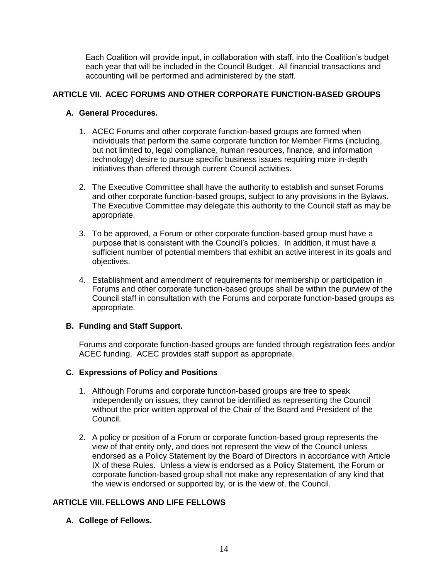Each Coalition will provide input, in collaboration with staff, into the Coalition's budget each year that will be included in the Council Budget. All financial transactions and accounting will be performed and administered by the staff.

## **ARTICLE VII. ACEC FORUMS AND OTHER CORPORATE FUNCTION-BASED GROUPS**

## **A. General Procedures.**

- 1. ACEC Forums and other corporate function-based groups are formed when individuals that perform the same corporate function for Member Firms (including, but not limited to, legal compliance, human resources, finance, and information technology) desire to pursue specific business issues requiring more in-depth initiatives than offered through current Council activities.
- 2. The Executive Committee shall have the authority to establish and sunset Forums and other corporate function-based groups, subject to any provisions in the Bylaws. The Executive Committee may delegate this authority to the Council staff as may be appropriate.
- 3. To be approved, a Forum or other corporate function-based group must have a purpose that is consistent with the Council's policies. In addition, it must have a sufficient number of potential members that exhibit an active interest in its goals and objectives.
- 4. Establishment and amendment of requirements for membership or participation in Forums and other corporate function-based groups shall be within the purview of the Council staff in consultation with the Forums and corporate function-based groups as appropriate.

## **B. Funding and Staff Support.**

Forums and corporate function-based groups are funded through registration fees and/or ACEC funding. ACEC provides staff support as appropriate.

## **C. Expressions of Policy and Positions**

- 1. Although Forums and corporate function-based groups are free to speak independently on issues, they cannot be identified as representing the Council without the prior written approval of the Chair of the Board and President of the Council.
- 2. A policy or position of a Forum or corporate function-based group represents the view of that entity only, and does not represent the view of the Council unless endorsed as a Policy Statement by the Board of Directors in accordance with Article IX of these Rules. Unless a view is endorsed as a Policy Statement, the Forum or corporate function-based group shall not make any representation of any kind that the view is endorsed or supported by, or is the view of, the Council.

# **ARTICLE VIII.FELLOWS AND LIFE FELLOWS**

**A. College of Fellows.**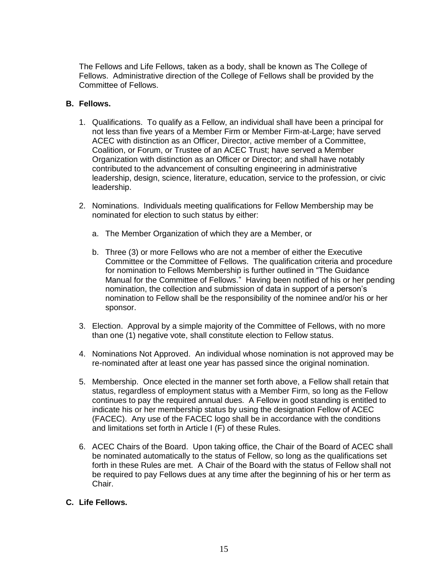The Fellows and Life Fellows, taken as a body, shall be known as The College of Fellows. Administrative direction of the College of Fellows shall be provided by the Committee of Fellows.

#### **B. Fellows.**

- 1. Qualifications. To qualify as a Fellow, an individual shall have been a principal for not less than five years of a Member Firm or Member Firm-at-Large; have served ACEC with distinction as an Officer, Director, active member of a Committee, Coalition, or Forum, or Trustee of an ACEC Trust; have served a Member Organization with distinction as an Officer or Director; and shall have notably contributed to the advancement of consulting engineering in administrative leadership, design, science, literature, education, service to the profession, or civic leadership.
- 2. Nominations. Individuals meeting qualifications for Fellow Membership may be nominated for election to such status by either:
	- a. The Member Organization of which they are a Member, or
	- b. Three (3) or more Fellows who are not a member of either the Executive Committee or the Committee of Fellows. The qualification criteria and procedure for nomination to Fellows Membership is further outlined in "The Guidance Manual for the Committee of Fellows." Having been notified of his or her pending nomination, the collection and submission of data in support of a person's nomination to Fellow shall be the responsibility of the nominee and/or his or her sponsor.
- 3. Election. Approval by a simple majority of the Committee of Fellows, with no more than one (1) negative vote, shall constitute election to Fellow status.
- 4. Nominations Not Approved. An individual whose nomination is not approved may be re-nominated after at least one year has passed since the original nomination.
- 5. Membership. Once elected in the manner set forth above, a Fellow shall retain that status, regardless of employment status with a Member Firm, so long as the Fellow continues to pay the required annual dues. A Fellow in good standing is entitled to indicate his or her membership status by using the designation Fellow of ACEC (FACEC). Any use of the FACEC logo shall be in accordance with the conditions and limitations set forth in Article I (F) of these Rules.
- 6. ACEC Chairs of the Board. Upon taking office, the Chair of the Board of ACEC shall be nominated automatically to the status of Fellow, so long as the qualifications set forth in these Rules are met. A Chair of the Board with the status of Fellow shall not be required to pay Fellows dues at any time after the beginning of his or her term as Chair.

## **C. Life Fellows.**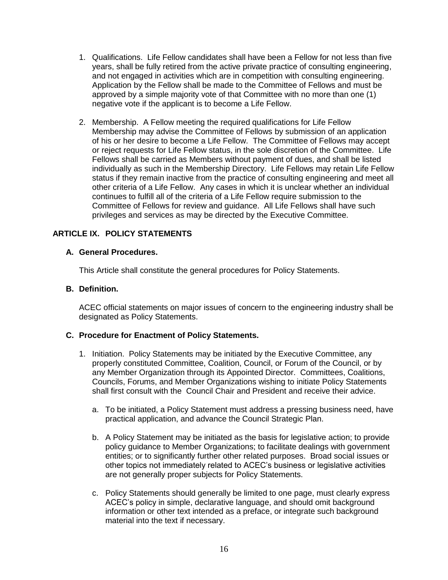- 1. Qualifications. Life Fellow candidates shall have been a Fellow for not less than five years, shall be fully retired from the active private practice of consulting engineering, and not engaged in activities which are in competition with consulting engineering. Application by the Fellow shall be made to the Committee of Fellows and must be approved by a simple majority vote of that Committee with no more than one (1) negative vote if the applicant is to become a Life Fellow.
- 2. Membership. A Fellow meeting the required qualifications for Life Fellow Membership may advise the Committee of Fellows by submission of an application of his or her desire to become a Life Fellow. The Committee of Fellows may accept or reject requests for Life Fellow status, in the sole discretion of the Committee. Life Fellows shall be carried as Members without payment of dues, and shall be listed individually as such in the Membership Directory. Life Fellows may retain Life Fellow status if they remain inactive from the practice of consulting engineering and meet all other criteria of a Life Fellow. Any cases in which it is unclear whether an individual continues to fulfill all of the criteria of a Life Fellow require submission to the Committee of Fellows for review and guidance. All Life Fellows shall have such privileges and services as may be directed by the Executive Committee.

# **ARTICLE IX. POLICY STATEMENTS**

#### **A. General Procedures.**

This Article shall constitute the general procedures for Policy Statements.

#### **B. Definition.**

ACEC official statements on major issues of concern to the engineering industry shall be designated as Policy Statements.

#### **C. Procedure for Enactment of Policy Statements.**

- 1. Initiation. Policy Statements may be initiated by the Executive Committee, any properly constituted Committee, Coalition, Council, or Forum of the Council, or by any Member Organization through its Appointed Director. Committees, Coalitions, Councils, Forums, and Member Organizations wishing to initiate Policy Statements shall first consult with the Council Chair and President and receive their advice.
	- a. To be initiated, a Policy Statement must address a pressing business need, have practical application, and advance the Council Strategic Plan.
	- b. A Policy Statement may be initiated as the basis for legislative action; to provide policy guidance to Member Organizations; to facilitate dealings with government entities; or to significantly further other related purposes. Broad social issues or other topics not immediately related to ACEC's business or legislative activities are not generally proper subjects for Policy Statements.
	- c. Policy Statements should generally be limited to one page, must clearly express ACEC's policy in simple, declarative language, and should omit background information or other text intended as a preface, or integrate such background material into the text if necessary.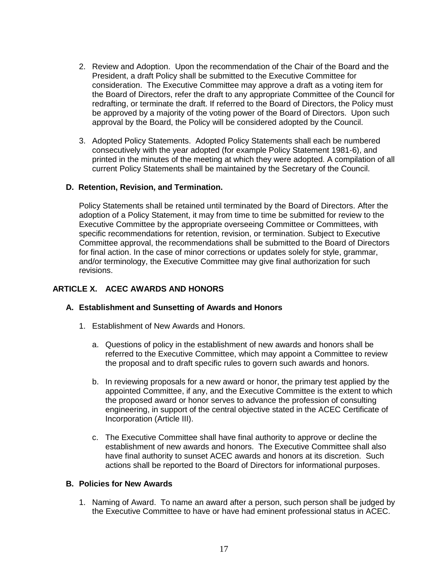- 2. Review and Adoption. Upon the recommendation of the Chair of the Board and the President, a draft Policy shall be submitted to the Executive Committee for consideration. The Executive Committee may approve a draft as a voting item for the Board of Directors, refer the draft to any appropriate Committee of the Council for redrafting, or terminate the draft. If referred to the Board of Directors, the Policy must be approved by a majority of the voting power of the Board of Directors. Upon such approval by the Board, the Policy will be considered adopted by the Council.
- 3. Adopted Policy Statements. Adopted Policy Statements shall each be numbered consecutively with the year adopted (for example Policy Statement 1981-6), and printed in the minutes of the meeting at which they were adopted. A compilation of all current Policy Statements shall be maintained by the Secretary of the Council.

## **D. Retention, Revision, and Termination.**

Policy Statements shall be retained until terminated by the Board of Directors. After the adoption of a Policy Statement, it may from time to time be submitted for review to the Executive Committee by the appropriate overseeing Committee or Committees, with specific recommendations for retention, revision, or termination. Subject to Executive Committee approval, the recommendations shall be submitted to the Board of Directors for final action. In the case of minor corrections or updates solely for style, grammar, and/or terminology, the Executive Committee may give final authorization for such revisions.

#### **ARTICLE X. ACEC AWARDS AND HONORS**

#### **A. Establishment and Sunsetting of Awards and Honors**

- 1. Establishment of New Awards and Honors.
	- a. Questions of policy in the establishment of new awards and honors shall be referred to the Executive Committee, which may appoint a Committee to review the proposal and to draft specific rules to govern such awards and honors.
	- b. In reviewing proposals for a new award or honor, the primary test applied by the appointed Committee, if any, and the Executive Committee is the extent to which the proposed award or honor serves to advance the profession of consulting engineering, in support of the central objective stated in the ACEC Certificate of Incorporation (Article III).
	- c. The Executive Committee shall have final authority to approve or decline the establishment of new awards and honors. The Executive Committee shall also have final authority to sunset ACEC awards and honors at its discretion. Such actions shall be reported to the Board of Directors for informational purposes.

## **B. Policies for New Awards**

1. Naming of Award. To name an award after a person, such person shall be judged by the Executive Committee to have or have had eminent professional status in ACEC.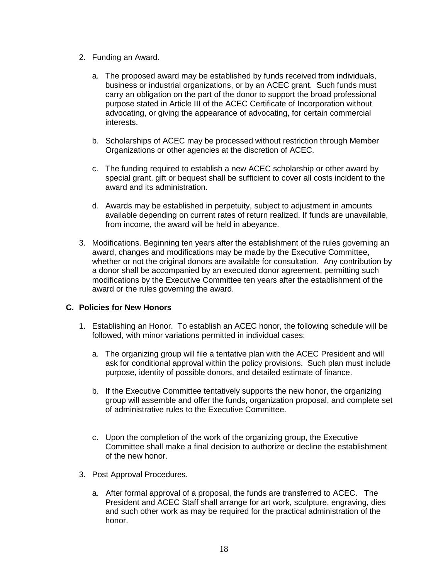- 2. Funding an Award.
	- a. The proposed award may be established by funds received from individuals, business or industrial organizations, or by an ACEC grant. Such funds must carry an obligation on the part of the donor to support the broad professional purpose stated in Article III of the ACEC Certificate of Incorporation without advocating, or giving the appearance of advocating, for certain commercial interests.
	- b. Scholarships of ACEC may be processed without restriction through Member Organizations or other agencies at the discretion of ACEC.
	- c. The funding required to establish a new ACEC scholarship or other award by special grant, gift or bequest shall be sufficient to cover all costs incident to the award and its administration.
	- d. Awards may be established in perpetuity, subject to adjustment in amounts available depending on current rates of return realized. If funds are unavailable, from income, the award will be held in abeyance.
- 3. Modifications. Beginning ten years after the establishment of the rules governing an award, changes and modifications may be made by the Executive Committee, whether or not the original donors are available for consultation. Any contribution by a donor shall be accompanied by an executed donor agreement, permitting such modifications by the Executive Committee ten years after the establishment of the award or the rules governing the award.

## **C. Policies for New Honors**

- 1. Establishing an Honor. To establish an ACEC honor, the following schedule will be followed, with minor variations permitted in individual cases:
	- a. The organizing group will file a tentative plan with the ACEC President and will ask for conditional approval within the policy provisions. Such plan must include purpose, identity of possible donors, and detailed estimate of finance.
	- b. If the Executive Committee tentatively supports the new honor, the organizing group will assemble and offer the funds, organization proposal, and complete set of administrative rules to the Executive Committee.
	- c. Upon the completion of the work of the organizing group, the Executive Committee shall make a final decision to authorize or decline the establishment of the new honor.
- 3. Post Approval Procedures.
	- a. After formal approval of a proposal, the funds are transferred to ACEC. The President and ACEC Staff shall arrange for art work, sculpture, engraving, dies and such other work as may be required for the practical administration of the honor.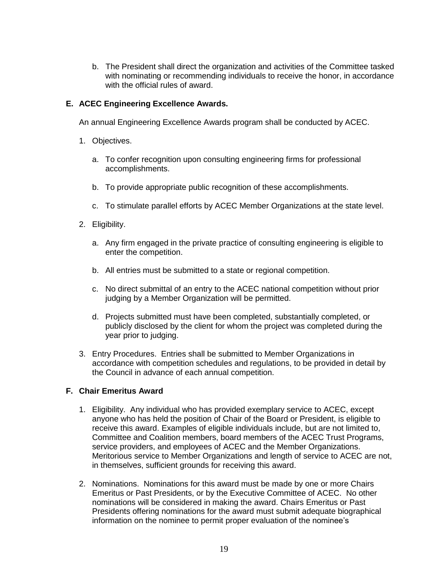b. The President shall direct the organization and activities of the Committee tasked with nominating or recommending individuals to receive the honor, in accordance with the official rules of award.

## **E. ACEC Engineering Excellence Awards.**

An annual Engineering Excellence Awards program shall be conducted by ACEC.

- 1. Objectives.
	- a. To confer recognition upon consulting engineering firms for professional accomplishments.
	- b. To provide appropriate public recognition of these accomplishments.
	- c. To stimulate parallel efforts by ACEC Member Organizations at the state level.
- 2. Eligibility.
	- a. Any firm engaged in the private practice of consulting engineering is eligible to enter the competition.
	- b. All entries must be submitted to a state or regional competition.
	- c. No direct submittal of an entry to the ACEC national competition without prior judging by a Member Organization will be permitted.
	- d. Projects submitted must have been completed, substantially completed, or publicly disclosed by the client for whom the project was completed during the year prior to judging.
- 3. Entry Procedures. Entries shall be submitted to Member Organizations in accordance with competition schedules and regulations, to be provided in detail by the Council in advance of each annual competition.

## **F. Chair Emeritus Award**

- 1. Eligibility. Any individual who has provided exemplary service to ACEC, except anyone who has held the position of Chair of the Board or President, is eligible to receive this award. Examples of eligible individuals include, but are not limited to, Committee and Coalition members, board members of the ACEC Trust Programs, service providers, and employees of ACEC and the Member Organizations. Meritorious service to Member Organizations and length of service to ACEC are not, in themselves, sufficient grounds for receiving this award.
- 2. Nominations. Nominations for this award must be made by one or more Chairs Emeritus or Past Presidents, or by the Executive Committee of ACEC. No other nominations will be considered in making the award. Chairs Emeritus or Past Presidents offering nominations for the award must submit adequate biographical information on the nominee to permit proper evaluation of the nominee's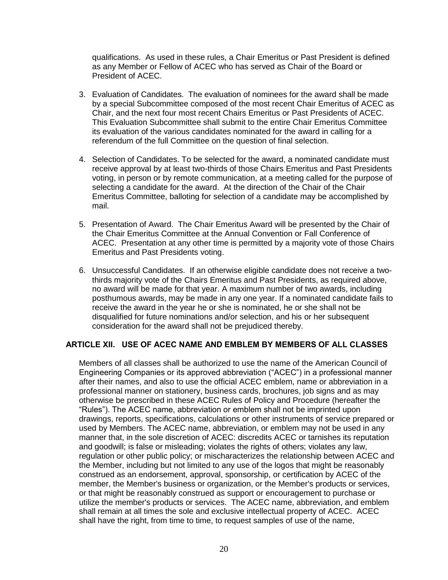qualifications. As used in these rules, a Chair Emeritus or Past President is defined as any Member or Fellow of ACEC who has served as Chair of the Board or President of ACEC.

- 3. Evaluation of Candidates. The evaluation of nominees for the award shall be made by a special Subcommittee composed of the most recent Chair Emeritus of ACEC as Chair, and the next four most recent Chairs Emeritus or Past Presidents of ACEC. This Evaluation Subcommittee shall submit to the entire Chair Emeritus Committee its evaluation of the various candidates nominated for the award in calling for a referendum of the full Committee on the question of final selection.
- 4. Selection of Candidates. To be selected for the award, a nominated candidate must receive approval by at least two-thirds of those Chairs Emeritus and Past Presidents voting, in person or by remote communication, at a meeting called for the purpose of selecting a candidate for the award. At the direction of the Chair of the Chair Emeritus Committee, balloting for selection of a candidate may be accomplished by mail.
- 5. Presentation of Award. The Chair Emeritus Award will be presented by the Chair of the Chair Emeritus Committee at the Annual Convention or Fall Conference of ACEC. Presentation at any other time is permitted by a majority vote of those Chairs Emeritus and Past Presidents voting.
- 6. Unsuccessful Candidates. If an otherwise eligible candidate does not receive a twothirds majority vote of the Chairs Emeritus and Past Presidents, as required above, no award will be made for that year. A maximum number of two awards, including posthumous awards, may be made in any one year. If a nominated candidate fails to receive the award in the year he or she is nominated, he or she shall not be disqualified for future nominations and/or selection, and his or her subsequent consideration for the award shall not be prejudiced thereby.

## **ARTICLE XII. USE OF ACEC NAME AND EMBLEM BY MEMBERS OF ALL CLASSES**

Members of all classes shall be authorized to use the name of the American Council of Engineering Companies or its approved abbreviation ("ACEC") in a professional manner after their names, and also to use the official ACEC emblem, name or abbreviation in a professional manner on stationery, business cards, brochures, job signs and as may otherwise be prescribed in these ACEC Rules of Policy and Procedure (hereafter the "Rules"). The ACEC name, abbreviation or emblem shall not be imprinted upon drawings, reports, specifications, calculations or other instruments of service prepared or used by Members. The ACEC name, abbreviation, or emblem may not be used in any manner that, in the sole discretion of ACEC: discredits ACEC or tarnishes its reputation and goodwill; is false or misleading; violates the rights of others; violates any law, regulation or other public policy; or mischaracterizes the relationship between ACEC and the Member, including but not limited to any use of the logos that might be reasonably construed as an endorsement, approval, sponsorship, or certification by ACEC of the member, the Member's business or organization, or the Member's products or services, or that might be reasonably construed as support or encouragement to purchase or utilize the member's products or services. The ACEC name, abbreviation, and emblem shall remain at all times the sole and exclusive intellectual property of ACEC. ACEC shall have the right, from time to time, to request samples of use of the name,